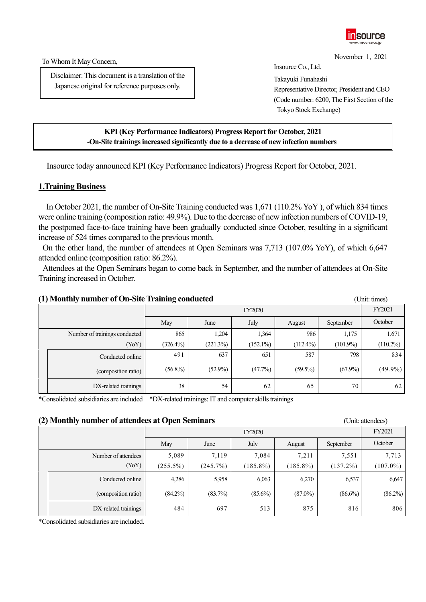

November 1, 2021

To Whom It May Concern,

Disclaimer: This document is a translation of the Japanese original for reference purposes only.

Insource Co., Ltd. Takayuki Funahashi Representative Director, President and CEO (Code number: 6200, The First Section of the Tokyo Stock Exchange)

### **KPI (Key Performance Indicators) Progress Report for October, 2021 -On-Site trainings increased significantly due to a decrease of new infection numbers**

Insource today announced KPI (Key Performance Indicators) Progress Report for October, 2021.

#### **1.Training Business**

In October 2021, the number of On-Site Training conducted was 1,671 (110.2% YoY ), of which 834 times were online training (composition ratio: 49.9%). Due to the decrease of new infection numbers of COVID-19, the postponed face-to-face training have been gradually conducted since October, resulting in a significant increase of 524 times compared to the previous month.

On the other hand, the number of attendees at Open Seminars was 7,713 (107.0% YoY), of which 6,647 attended online (composition ratio: 86.2%).

Attendees at the Open Seminars began to come back in September, and the number of attendees at On-Site Training increased in October.

| (1) Monthly number of On-Site Training conducted |                               |             |                                     |             |             |             | (Unit: times) |  |  |  |
|--------------------------------------------------|-------------------------------|-------------|-------------------------------------|-------------|-------------|-------------|---------------|--|--|--|
|                                                  |                               |             | <b>FY2020</b>                       |             |             |             |               |  |  |  |
|                                                  |                               | May         | July<br>June<br>September<br>August |             |             |             |               |  |  |  |
|                                                  | Number of trainings conducted | 865         | 1,204                               | 1,364       | 986         | 1,175       | 1,671         |  |  |  |
|                                                  | (YoY)                         | $(326.4\%)$ | (221.3%)                            | $(152.1\%)$ | $(112.4\%)$ | $(101.9\%)$ | $(110.2\%)$   |  |  |  |
|                                                  | Conducted online              | 491         | 637                                 | 651         | 587         | 798         | 834           |  |  |  |
|                                                  | (composition ratio)           | $(56.8\%)$  | $(52.9\%)$                          | (47.7%)     | $(59.5\%)$  | $(67.9\%)$  | $(49.9\%)$    |  |  |  |
|                                                  | DX-related trainings          | 38          | 54                                  | 62          | 65          | 70          | 62            |  |  |  |

\*Consolidated subsidiaries are included \*DX-related trainings: IT and computer skills trainings

#### **(2) Monthly number of attendees at Open Seminars** (Unit: attendees)

|  | $\left($ - $\right)$ $\left($ $\right)$ $\left($ $\right)$ $\left($ $\right)$ $\left($ $\right)$ $\left($ $\right)$ $\left($ $\right)$ $\left($ $\right)$ $\left($ $\right)$ $\left($ $\right)$ $\left($ $\right)$ $\left($ $\right)$ $\left($ $\right)$ $\left($ $\right)$ $\left($ $\right)$ $\left($ $\right)$ $\left($ $\right)$ $\left($ $\right)$ $\left$<br>$\sim$ $\mu$ $\sim$ $\sim$ $\sim$ $\sim$ $\sim$ $\sim$ $\sim$ |             |                                     |             |             |             |             |  |  |
|--|----------------------------------------------------------------------------------------------------------------------------------------------------------------------------------------------------------------------------------------------------------------------------------------------------------------------------------------------------------------------------------------------------------------------------------|-------------|-------------------------------------|-------------|-------------|-------------|-------------|--|--|
|  |                                                                                                                                                                                                                                                                                                                                                                                                                                  |             | <b>FY2020</b>                       |             |             |             |             |  |  |
|  |                                                                                                                                                                                                                                                                                                                                                                                                                                  | May         | July<br>June<br>September<br>August |             |             |             |             |  |  |
|  | Number of attendees                                                                                                                                                                                                                                                                                                                                                                                                              | 5,089       | 7,119                               | 7,084       | 7,211       | 7,551       | 7,713       |  |  |
|  | (YoY)                                                                                                                                                                                                                                                                                                                                                                                                                            | $(255.5\%)$ | (245.7%)                            | $(185.8\%)$ | $(185.8\%)$ | $(137.2\%)$ | $(107.0\%)$ |  |  |
|  | Conducted online                                                                                                                                                                                                                                                                                                                                                                                                                 | 4,286       | 5,958                               | 6,063       | 6,270       | 6,537       | 6,647       |  |  |
|  | (composition ratio)                                                                                                                                                                                                                                                                                                                                                                                                              | $(84.2\%)$  | (83.7%)                             | $(85.6\%)$  | $(87.0\%)$  | $(86.6\%)$  | $(86.2\%)$  |  |  |
|  | DX-related trainings                                                                                                                                                                                                                                                                                                                                                                                                             | 484         | 697                                 | 513         | 875         | 816         | 806         |  |  |

\*Consolidated subsidiaries are included.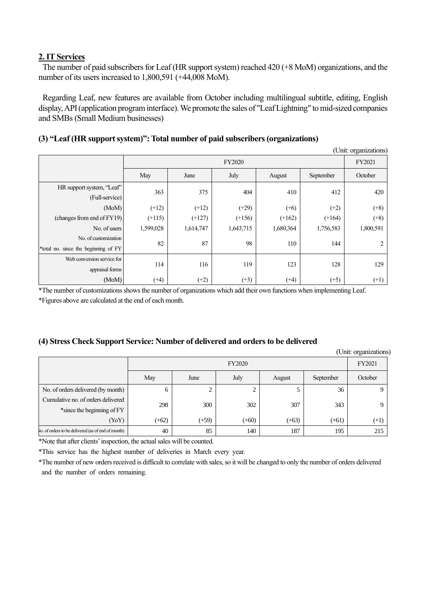### **2. IT Services**

The number of paid subscribers for Leaf (HR support system) reached 420 (+8 MoM) organizations, and the number of its users increased to 1,800,591 (+44,008 MoM).

Regarding Leaf, new features are available from October including multilingual subtitle, editing, English display, API(application program interface).We promote the sales of "Leaf Lightning" to mid-sized companies and SMBs (Small Medium businesses)

# **(3) "Leaf (HR support system)": Total number of paid subscribers (organizations)**

|                                                              |           |                                     |           |           |           | (Unit: organizations) |  |  |
|--------------------------------------------------------------|-----------|-------------------------------------|-----------|-----------|-----------|-----------------------|--|--|
|                                                              |           | <b>FY2020</b>                       |           |           |           |                       |  |  |
|                                                              | May       | July<br>September<br>June<br>August |           |           |           |                       |  |  |
| HR support system, "Leaf"<br>(Full-service)                  | 363       | 375                                 | 404       | 410       | 412       | 420                   |  |  |
| (MoM)                                                        | $(+12)$   | $(+12)$                             | $(+29)$   | $(+6)$    | $(+2)$    | $(+8)$                |  |  |
| (changes from end of FY19)                                   | $(+115)$  | $(+127)$                            | $(+156)$  | $(+162)$  | $(+164)$  | $(+8)$                |  |  |
| No. of users                                                 | 1,599,028 | 1,614,747                           | 1,643,715 | 1,680,364 | 1,756,583 | 1,800,591             |  |  |
| No. of customization<br>*total no. since the beginning of FY | 82        | 87                                  | 98        | 110       | 144       | 2                     |  |  |
| Web conversion service for<br>appraisal forms                | 114       | 116                                 | 119       | 123       | 128       | 129                   |  |  |
| (MoM)                                                        | $(+4)$    | $(+2)$                              | $(+3)$    | $(+4)$    | $(+5)$    | $(+1)$                |  |  |

\*The number of customizationsshows the number of organizations which add their own functions when implementing Leaf.

\*Figures above are calculated at the end of each month.

## **(4) Stress Check Support Service: Number of delivered and orders to be delivered**

(Unit: organizations)

|                                                    |         | <b>FY2020</b><br>July<br>May<br>September<br>June<br>August |         |         |         |        |  |
|----------------------------------------------------|---------|-------------------------------------------------------------|---------|---------|---------|--------|--|
|                                                    |         |                                                             |         |         |         |        |  |
| No. of orders delivered (by month)                 | 6       |                                                             | ◠<br>∠  |         | 36      |        |  |
| Cumulative no. of orders delivered                 | 298     | 300                                                         | 302     | 307     | 343     |        |  |
| *since the beginning of FY                         |         |                                                             |         |         |         |        |  |
| (YoY)                                              | $(+62)$ | $(+59)$                                                     | $(+60)$ | $(+63)$ | $(+61)$ | $(+1)$ |  |
| Vo. of orders to be delivered (as of end of month) | 40      | 85                                                          | 140     | 187     | 195     | 215    |  |

\*Note that after clients'inspection, the actual sales will be counted.

\*This service has the highest number of deliveries in March every year.

\*The number of new orders received is difficult to correlate with sales, so it will be changed to only the number of orders delivered and the number of orders remaining.